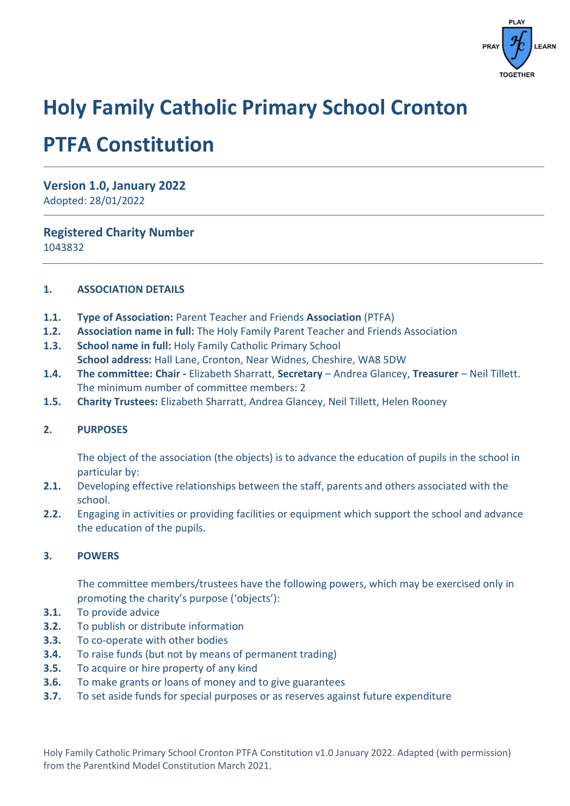

# **Holy Family Catholic Primary School Cronton**

# **PTFA Constitution**

**Version 1.0, January 2022** Adopted: 28/01/2022

**Registered Charity Number**

1043832

## **1. ASSOCIATION DETAILS**

- **1.1. Type of Association:** Parent Teacher and Friends **Association** (PTFA)
- **1.2. Association name in full:** The Holy Family Parent Teacher and Friends Association
- **1.3. School name in full:** Holy Family Catholic Primary School **School address:** Hall Lane, Cronton, Near Widnes, Cheshire, WA8 5DW
- **1.4. The committee: Chair -** Elizabeth Sharratt, **Secretary** Andrea Glancey, **Treasurer**  Neil Tillett. The minimum number of committee members: 2
- **1.5. Charity Trustees:** Elizabeth Sharratt, Andrea Glancey, Neil Tillett, Helen Rooney

# **2. PURPOSES**

The object of the association (the objects) is to advance the education of pupils in the school in particular by:

- **2.1.** Developing effective relationships between the staff, parents and others associated with the school.
- **2.2.** Engaging in activities or providing facilities or equipment which support the school and advance the education of the pupils.

# **3. POWERS**

The committee members/trustees have the following powers, which may be exercised only in promoting the charity's purpose ('objects'):

- **3.1.** To provide advice
- **3.2.** To publish or distribute information
- **3.3.** To co-operate with other bodies
- **3.4.** To raise funds (but not by means of permanent trading)
- **3.5.** To acquire or hire property of any kind
- **3.6.** To make grants or loans of money and to give guarantees
- **3.7.** To set aside funds for special purposes or as reserves against future expenditure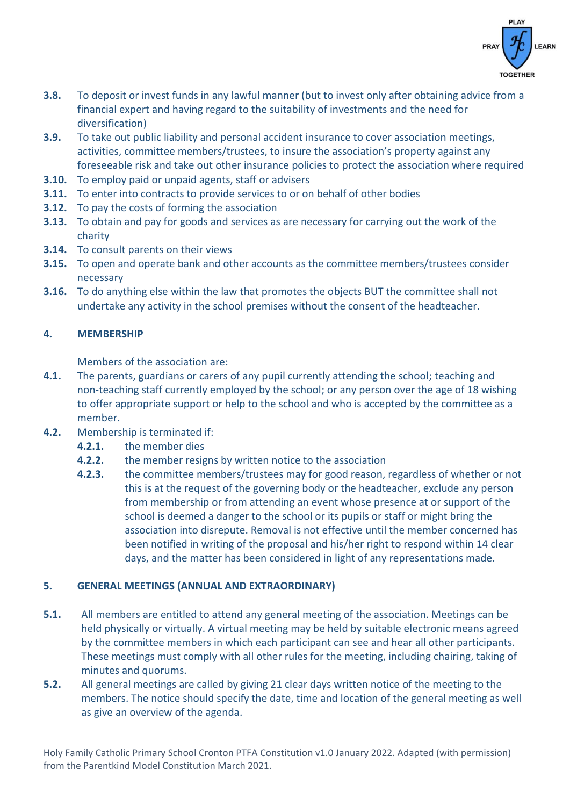

- **3.8.** To deposit or invest funds in any lawful manner (but to invest only after obtaining advice from a financial expert and having regard to the suitability of investments and the need for diversification)
- **3.9.** To take out public liability and personal accident insurance to cover association meetings, activities, committee members/trustees, to insure the association's property against any foreseeable risk and take out other insurance policies to protect the association where required
- **3.10.** To employ paid or unpaid agents, staff or advisers
- **3.11.** To enter into contracts to provide services to or on behalf of other bodies
- **3.12.** To pay the costs of forming the association
- **3.13.** To obtain and pay for goods and services as are necessary for carrying out the work of the charity
- **3.14.** To consult parents on their views
- **3.15.** To open and operate bank and other accounts as the committee members/trustees consider necessary
- **3.16.** To do anything else within the law that promotes the objects BUT the committee shall not undertake any activity in the school premises without the consent of the headteacher.

# **4. MEMBERSHIP**

Members of the association are:

- **4.1.** The parents, guardians or carers of any pupil currently attending the school; teaching and non-teaching staff currently employed by the school; or any person over the age of 18 wishing to offer appropriate support or help to the school and who is accepted by the committee as a member.
- **4.2.** Membership is terminated if:
	- **4.2.1.** the member dies
	- **4.2.2.** the member resigns by written notice to the association
	- **4.2.3.** the committee members/trustees may for good reason, regardless of whether or not this is at the request of the governing body or the headteacher, exclude any person from membership or from attending an event whose presence at or support of the school is deemed a danger to the school or its pupils or staff or might bring the association into disrepute. Removal is not effective until the member concerned has been notified in writing of the proposal and his/her right to respond within 14 clear days, and the matter has been considered in light of any representations made.

# **5. GENERAL MEETINGS (ANNUAL AND EXTRAORDINARY)**

- **5.1.** All members are entitled to attend any general meeting of the association. Meetings can be held physically or virtually. A virtual meeting may be held by suitable electronic means agreed by the committee members in which each participant can see and hear all other participants. These meetings must comply with all other rules for the meeting, including chairing, taking of minutes and quorums.
- **5.2.** All general meetings are called by giving 21 clear days written notice of the meeting to the members. The notice should specify the date, time and location of the general meeting as well as give an overview of the agenda.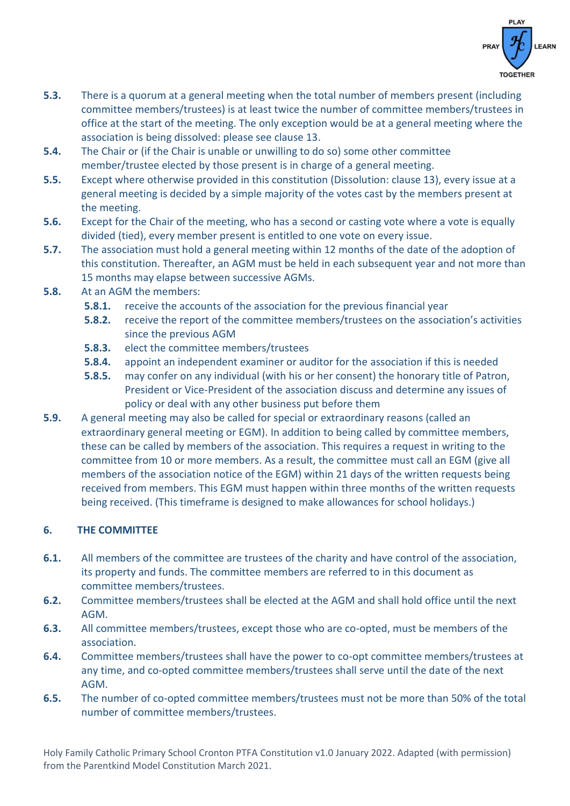

- **5.3.** There is a quorum at a general meeting when the total number of members present (including committee members/trustees) is at least twice the number of committee members/trustees in office at the start of the meeting. The only exception would be at a general meeting where the association is being dissolved: please see clause 13.
- **5.4.** The Chair or (if the Chair is unable or unwilling to do so) some other committee member/trustee elected by those present is in charge of a general meeting.
- **5.5.** Except where otherwise provided in this constitution (Dissolution: clause 13), every issue at a general meeting is decided by a simple majority of the votes cast by the members present at the meeting.
- **5.6.** Except for the Chair of the meeting, who has a second or casting vote where a vote is equally divided (tied), every member present is entitled to one vote on every issue.
- **5.7.** The association must hold a general meeting within 12 months of the date of the adoption of this constitution. Thereafter, an AGM must be held in each subsequent year and not more than 15 months may elapse between successive AGMs.
- **5.8.** At an AGM the members:
	- **5.8.1.** receive the accounts of the association for the previous financial year
	- **5.8.2.** receive the report of the committee members/trustees on the association's activities since the previous AGM
	- **5.8.3.** elect the committee members/trustees
	- **5.8.4.** appoint an independent examiner or auditor for the association if this is needed
	- **5.8.5.** may confer on any individual (with his or her consent) the honorary title of Patron, President or Vice-President of the association discuss and determine any issues of policy or deal with any other business put before them
- **5.9.** A general meeting may also be called for special or extraordinary reasons (called an extraordinary general meeting or EGM). In addition to being called by committee members, these can be called by members of the association. This requires a request in writing to the committee from 10 or more members. As a result, the committee must call an EGM (give all members of the association notice of the EGM) within 21 days of the written requests being received from members. This EGM must happen within three months of the written requests being received. (This timeframe is designed to make allowances for school holidays.)

# **6. THE COMMITTEE**

- **6.1.** All members of the committee are trustees of the charity and have control of the association, its property and funds. The committee members are referred to in this document as committee members/trustees.
- **6.2.** Committee members/trustees shall be elected at the AGM and shall hold office until the next AGM.
- **6.3.** All committee members/trustees, except those who are co-opted, must be members of the association.
- **6.4.** Committee members/trustees shall have the power to co-opt committee members/trustees at any time, and co-opted committee members/trustees shall serve until the date of the next AGM.
- **6.5.** The number of co-opted committee members/trustees must not be more than 50% of the total number of committee members/trustees.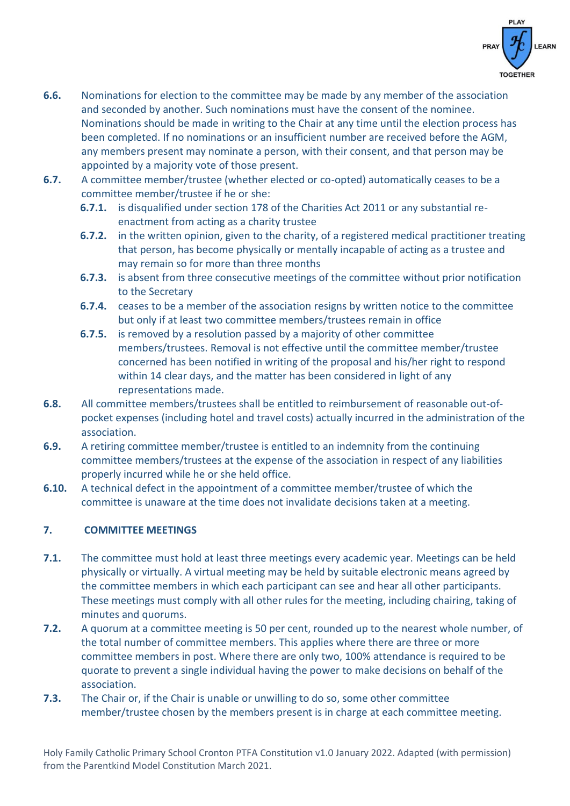

- **6.6.** Nominations for election to the committee may be made by any member of the association and seconded by another. Such nominations must have the consent of the nominee. Nominations should be made in writing to the Chair at any time until the election process has been completed. If no nominations or an insufficient number are received before the AGM, any members present may nominate a person, with their consent, and that person may be appointed by a majority vote of those present.
- **6.7.** A committee member/trustee (whether elected or co-opted) automatically ceases to be a committee member/trustee if he or she:
	- **6.7.1.** is disqualified under section 178 of the Charities Act 2011 or any substantial reenactment from acting as a charity trustee
	- **6.7.2.** in the written opinion, given to the charity, of a registered medical practitioner treating that person, has become physically or mentally incapable of acting as a trustee and may remain so for more than three months
	- **6.7.3.** is absent from three consecutive meetings of the committee without prior notification to the Secretary
	- **6.7.4.** ceases to be a member of the association resigns by written notice to the committee but only if at least two committee members/trustees remain in office
	- **6.7.5.** is removed by a resolution passed by a majority of other committee members/trustees. Removal is not effective until the committee member/trustee concerned has been notified in writing of the proposal and his/her right to respond within 14 clear days, and the matter has been considered in light of any representations made.
- **6.8.** All committee members/trustees shall be entitled to reimbursement of reasonable out-ofpocket expenses (including hotel and travel costs) actually incurred in the administration of the association.
- **6.9.** A retiring committee member/trustee is entitled to an indemnity from the continuing committee members/trustees at the expense of the association in respect of any liabilities properly incurred while he or she held office.
- **6.10.** A technical defect in the appointment of a committee member/trustee of which the committee is unaware at the time does not invalidate decisions taken at a meeting.

# **7. COMMITTEE MEETINGS**

- **7.1.** The committee must hold at least three meetings every academic year. Meetings can be held physically or virtually. A virtual meeting may be held by suitable electronic means agreed by the committee members in which each participant can see and hear all other participants. These meetings must comply with all other rules for the meeting, including chairing, taking of minutes and quorums.
- **7.2.** A quorum at a committee meeting is 50 per cent, rounded up to the nearest whole number, of the total number of committee members. This applies where there are three or more committee members in post. Where there are only two, 100% attendance is required to be quorate to prevent a single individual having the power to make decisions on behalf of the association.
- **7.3.** The Chair or, if the Chair is unable or unwilling to do so, some other committee member/trustee chosen by the members present is in charge at each committee meeting.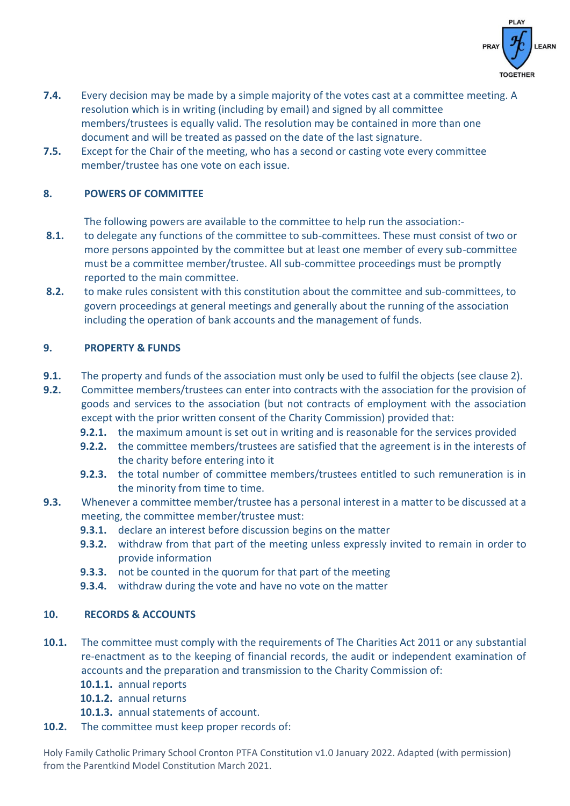

- **7.4.** Every decision may be made by a simple majority of the votes cast at a committee meeting. A resolution which is in writing (including by email) and signed by all committee members/trustees is equally valid. The resolution may be contained in more than one document and will be treated as passed on the date of the last signature.
- **7.5.** Except for the Chair of the meeting, who has a second or casting vote every committee member/trustee has one vote on each issue.

# **8. POWERS OF COMMITTEE**

The following powers are available to the committee to help run the association:-

- **8.1.** to delegate any functions of the committee to sub-committees. These must consist of two or more persons appointed by the committee but at least one member of every sub-committee must be a committee member/trustee. All sub-committee proceedings must be promptly reported to the main committee.
- **8.2.** to make rules consistent with this constitution about the committee and sub-committees, to govern proceedings at general meetings and generally about the running of the association including the operation of bank accounts and the management of funds.

## **9. PROPERTY & FUNDS**

- **9.1.** The property and funds of the association must only be used to fulfil the objects (see clause 2).
- **9.2.** Committee members/trustees can enter into contracts with the association for the provision of goods and services to the association (but not contracts of employment with the association except with the prior written consent of the Charity Commission) provided that:
	- **9.2.1.** the maximum amount is set out in writing and is reasonable for the services provided
	- **9.2.2.** the committee members/trustees are satisfied that the agreement is in the interests of the charity before entering into it
	- **9.2.3.** the total number of committee members/trustees entitled to such remuneration is in the minority from time to time.
- **9.3.** Whenever a committee member/trustee has a personal interest in a matter to be discussed at a meeting, the committee member/trustee must:
	- **9.3.1.** declare an interest before discussion begins on the matter
	- **9.3.2.** withdraw from that part of the meeting unless expressly invited to remain in order to provide information
	- **9.3.3.** not be counted in the quorum for that part of the meeting
	- **9.3.4.** withdraw during the vote and have no vote on the matter

#### **10. RECORDS & ACCOUNTS**

- **10.1.** The committee must comply with the requirements of The Charities Act 2011 or any substantial re-enactment as to the keeping of financial records, the audit or independent examination of accounts and the preparation and transmission to the Charity Commission of:
	- **10.1.1.** annual reports
	- **10.1.2.** annual returns
	- **10.1.3.** annual statements of account.
- **10.2.** The committee must keep proper records of: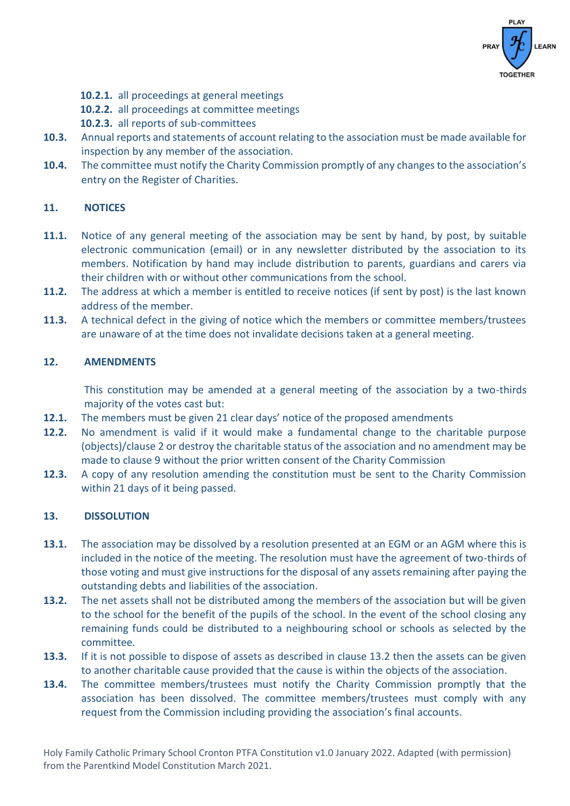

- **10.2.1.** all proceedings at general meetings
- **10.2.2.** all proceedings at committee meetings
- **10.2.3.** all reports of sub-committees
- **10.3.** Annual reports and statements of account relating to the association must be made available for inspection by any member of the association.
- **10.4.** The committee must notify the Charity Commission promptly of any changes to the association's entry on the Register of Charities.

### **11. NOTICES**

- **11.1.** Notice of any general meeting of the association may be sent by hand, by post, by suitable electronic communication (email) or in any newsletter distributed by the association to its members. Notification by hand may include distribution to parents, guardians and carers via their children with or without other communications from the school.
- **11.2.** The address at which a member is entitled to receive notices (if sent by post) is the last known address of the member.
- **11.3.** A technical defect in the giving of notice which the members or committee members/trustees are unaware of at the time does not invalidate decisions taken at a general meeting.

## **12. AMENDMENTS**

This constitution may be amended at a general meeting of the association by a two-thirds majority of the votes cast but:

- **12.1.** The members must be given 21 clear days' notice of the proposed amendments
- **12.2.** No amendment is valid if it would make a fundamental change to the charitable purpose (objects)/clause 2 or destroy the charitable status of the association and no amendment may be made to clause 9 without the prior written consent of the Charity Commission
- **12.3.** A copy of any resolution amending the constitution must be sent to the Charity Commission within 21 days of it being passed.

#### **13. DISSOLUTION**

- **13.1.** The association may be dissolved by a resolution presented at an EGM or an AGM where this is included in the notice of the meeting. The resolution must have the agreement of two-thirds of those voting and must give instructions for the disposal of any assets remaining after paying the outstanding debts and liabilities of the association.
- **13.2.** The net assets shall not be distributed among the members of the association but will be given to the school for the benefit of the pupils of the school. In the event of the school closing any remaining funds could be distributed to a neighbouring school or schools as selected by the committee.
- **13.3.** If it is not possible to dispose of assets as described in clause 13.2 then the assets can be given to another charitable cause provided that the cause is within the objects of the association.
- **13.4.** The committee members/trustees must notify the Charity Commission promptly that the association has been dissolved. The committee members/trustees must comply with any request from the Commission including providing the association's final accounts.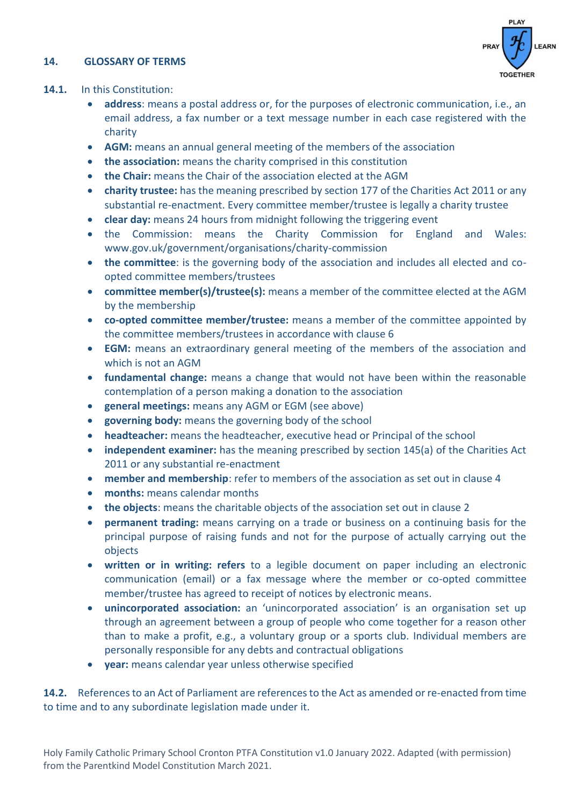### **14. GLOSSARY OF TERMS**



### **14.1.** In this Constitution:

- **address**: means a postal address or, for the purposes of electronic communication, i.e., an email address, a fax number or a text message number in each case registered with the charity
- **AGM:** means an annual general meeting of the members of the association
- **the association:** means the charity comprised in this constitution
- **the Chair:** means the Chair of the association elected at the AGM
- **charity trustee:** has the meaning prescribed by section 177 of the Charities Act 2011 or any substantial re-enactment. Every committee member/trustee is legally a charity trustee
- **clear day:** means 24 hours from midnight following the triggering event
- the Commission: means the Charity Commission for England and Wales: www.gov.uk/government/organisations/charity-commission
- **the committee**: is the governing body of the association and includes all elected and coopted committee members/trustees
- **committee member(s)/trustee(s):** means a member of the committee elected at the AGM by the membership
- **co-opted committee member/trustee:** means a member of the committee appointed by the committee members/trustees in accordance with clause 6
- **EGM:** means an extraordinary general meeting of the members of the association and which is not an AGM
- **fundamental change:** means a change that would not have been within the reasonable contemplation of a person making a donation to the association
- **general meetings:** means any AGM or EGM (see above)
- **governing body:** means the governing body of the school
- **headteacher:** means the headteacher, executive head or Principal of the school
- **independent examiner:** has the meaning prescribed by section 145(a) of the Charities Act 2011 or any substantial re-enactment
- **member and membership**: refer to members of the association as set out in clause 4
- **months:** means calendar months
- **the objects**: means the charitable objects of the association set out in clause 2
- **permanent trading:** means carrying on a trade or business on a continuing basis for the principal purpose of raising funds and not for the purpose of actually carrying out the objects
- **written or in writing: refers** to a legible document on paper including an electronic communication (email) or a fax message where the member or co-opted committee member/trustee has agreed to receipt of notices by electronic means.
- **unincorporated association:** an 'unincorporated association' is an organisation set up through an agreement between a group of people who come together for a reason other than to make a profit, e.g., a voluntary group or a sports club. Individual members are personally responsible for any debts and contractual obligations
- **year:** means calendar year unless otherwise specified

**14.2.** References to an Act of Parliament are references to the Act as amended or re-enacted from time to time and to any subordinate legislation made under it.